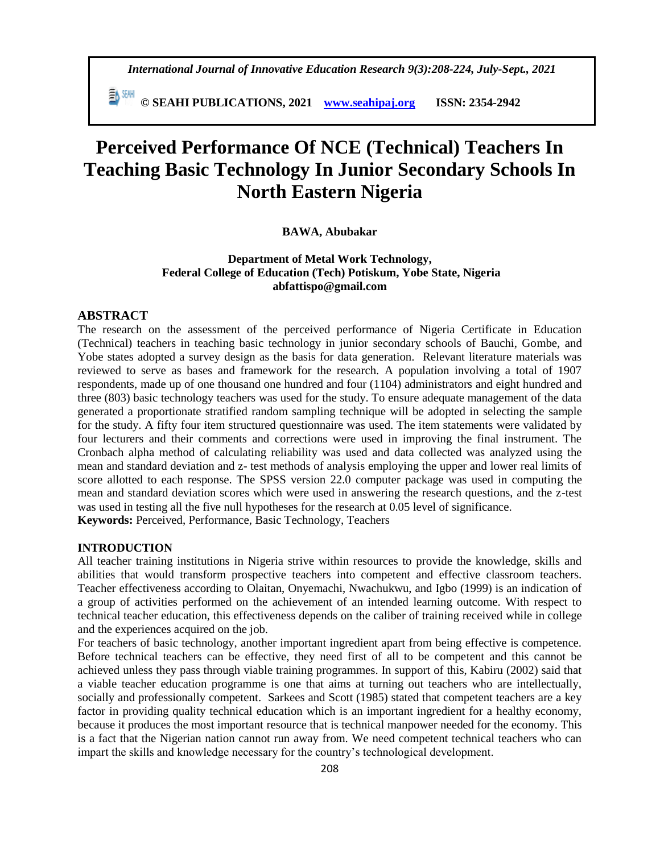*International Journal of Innovative Education Research 9(3):208-224, July-Sept., 2021*

 **© SEAHI PUBLICATIONS, 2021 [www.seahipaj.org](http://www.seahipaj.org/) ISSN: 2354-2942**

# **Perceived Performance Of NCE (Technical) Teachers In Teaching Basic Technology In Junior Secondary Schools In North Eastern Nigeria**

# **BAWA, Abubakar**

# **Department of Metal Work Technology, Federal College of Education (Tech) Potiskum, Yobe State, Nigeria abfattispo@gmail.com**

# **ABSTRACT**

The research on the assessment of the perceived performance of Nigeria Certificate in Education (Technical) teachers in teaching basic technology in junior secondary schools of Bauchi, Gombe, and Yobe states adopted a survey design as the basis for data generation. Relevant literature materials was reviewed to serve as bases and framework for the research. A population involving a total of 1907 respondents, made up of one thousand one hundred and four (1104) administrators and eight hundred and three (803) basic technology teachers was used for the study. To ensure adequate management of the data generated a proportionate stratified random sampling technique will be adopted in selecting the sample for the study. A fifty four item structured questionnaire was used. The item statements were validated by four lecturers and their comments and corrections were used in improving the final instrument. The Cronbach alpha method of calculating reliability was used and data collected was analyzed using the mean and standard deviation and z- test methods of analysis employing the upper and lower real limits of score allotted to each response. The SPSS version 22.0 computer package was used in computing the mean and standard deviation scores which were used in answering the research questions, and the z-test was used in testing all the five null hypotheses for the research at 0.05 level of significance.

**Keywords:** Perceived, Performance, Basic Technology, Teachers

# **INTRODUCTION**

All teacher training institutions in Nigeria strive within resources to provide the knowledge, skills and abilities that would transform prospective teachers into competent and effective classroom teachers. Teacher effectiveness according to Olaitan, Onyemachi, Nwachukwu, and Igbo (1999) is an indication of a group of activities performed on the achievement of an intended learning outcome. With respect to technical teacher education, this effectiveness depends on the caliber of training received while in college and the experiences acquired on the job.

For teachers of basic technology, another important ingredient apart from being effective is competence. Before technical teachers can be effective, they need first of all to be competent and this cannot be achieved unless they pass through viable training programmes. In support of this, Kabiru (2002) said that a viable teacher education programme is one that aims at turning out teachers who are intellectually, socially and professionally competent. Sarkees and Scott (1985) stated that competent teachers are a key factor in providing quality technical education which is an important ingredient for a healthy economy, because it produces the most important resource that is technical manpower needed for the economy. This is a fact that the Nigerian nation cannot run away from. We need competent technical teachers who can impart the skills and knowledge necessary for the country's technological development.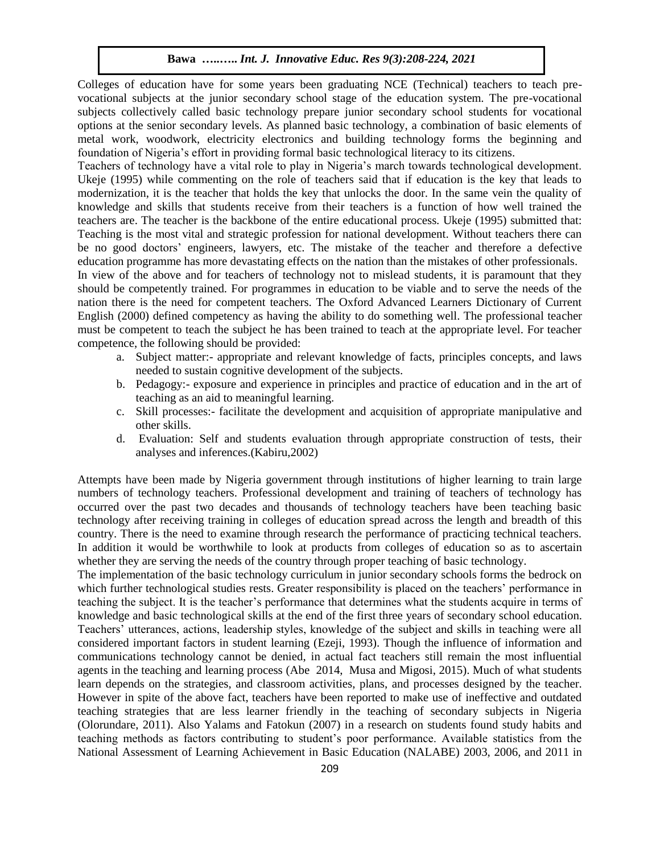Colleges of education have for some years been graduating NCE (Technical) teachers to teach prevocational subjects at the junior secondary school stage of the education system. The pre-vocational subjects collectively called basic technology prepare junior secondary school students for vocational options at the senior secondary levels. As planned basic technology, a combination of basic elements of metal work, woodwork, electricity electronics and building technology forms the beginning and foundation of Nigeria's effort in providing formal basic technological literacy to its citizens.

Teachers of technology have a vital role to play in Nigeria's march towards technological development. Ukeje (1995) while commenting on the role of teachers said that if education is the key that leads to modernization, it is the teacher that holds the key that unlocks the door. In the same vein the quality of knowledge and skills that students receive from their teachers is a function of how well trained the teachers are. The teacher is the backbone of the entire educational process. Ukeje (1995) submitted that: Teaching is the most vital and strategic profession for national development. Without teachers there can be no good doctors' engineers, lawyers, etc. The mistake of the teacher and therefore a defective education programme has more devastating effects on the nation than the mistakes of other professionals. In view of the above and for teachers of technology not to mislead students, it is paramount that they

should be competently trained. For programmes in education to be viable and to serve the needs of the nation there is the need for competent teachers. The Oxford Advanced Learners Dictionary of Current English (2000) defined competency as having the ability to do something well. The professional teacher must be competent to teach the subject he has been trained to teach at the appropriate level. For teacher competence, the following should be provided:

- a. Subject matter:- appropriate and relevant knowledge of facts, principles concepts, and laws needed to sustain cognitive development of the subjects.
- b. Pedagogy:- exposure and experience in principles and practice of education and in the art of teaching as an aid to meaningful learning.
- c. Skill processes:- facilitate the development and acquisition of appropriate manipulative and other skills.
- d. Evaluation: Self and students evaluation through appropriate construction of tests, their analyses and inferences.(Kabiru,2002)

Attempts have been made by Nigeria government through institutions of higher learning to train large numbers of technology teachers. Professional development and training of teachers of technology has occurred over the past two decades and thousands of technology teachers have been teaching basic technology after receiving training in colleges of education spread across the length and breadth of this country. There is the need to examine through research the performance of practicing technical teachers. In addition it would be worthwhile to look at products from colleges of education so as to ascertain whether they are serving the needs of the country through proper teaching of basic technology.

The implementation of the basic technology curriculum in junior secondary schools forms the bedrock on which further technological studies rests. Greater responsibility is placed on the teachers' performance in teaching the subject. It is the teacher's performance that determines what the students acquire in terms of knowledge and basic technological skills at the end of the first three years of secondary school education. Teachers' utterances, actions, leadership styles, knowledge of the subject and skills in teaching were all considered important factors in student learning (Ezeji, 1993). Though the influence of information and communications technology cannot be denied, in actual fact teachers still remain the most influential agents in the teaching and learning process (Abe 2014, Musa and Migosi, 2015). Much of what students learn depends on the strategies, and classroom activities, plans, and processes designed by the teacher. However in spite of the above fact, teachers have been reported to make use of ineffective and outdated teaching strategies that are less learner friendly in the teaching of secondary subjects in Nigeria (Olorundare, 2011). Also Yalams and Fatokun (2007) in a research on students found study habits and teaching methods as factors contributing to student's poor performance. Available statistics from the National Assessment of Learning Achievement in Basic Education (NALABE) 2003, 2006, and 2011 in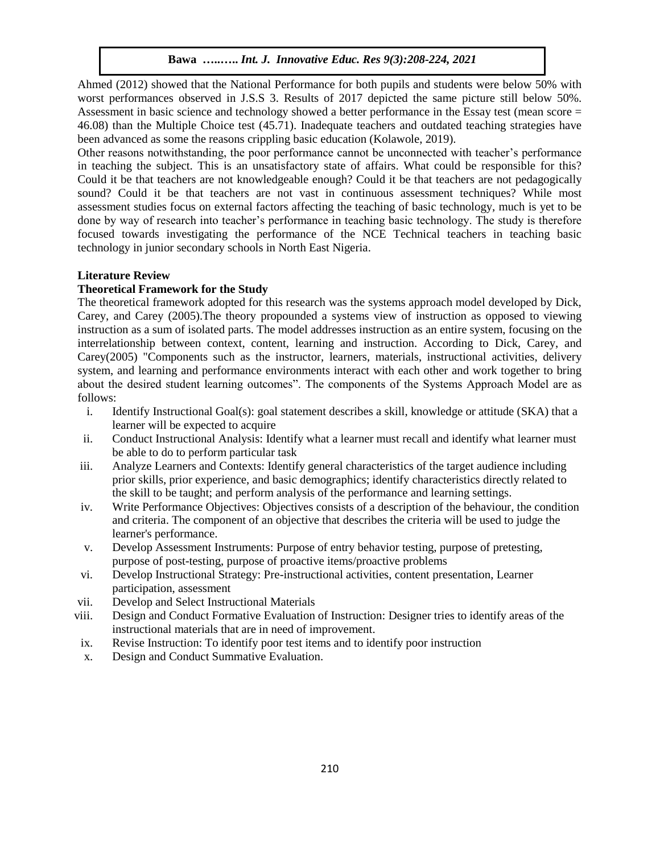Ahmed (2012) showed that the National Performance for both pupils and students were below 50% with worst performances observed in J.S.S 3. Results of 2017 depicted the same picture still below 50%. Assessment in basic science and technology showed a better performance in the Essay test (mean score = 46.08) than the Multiple Choice test (45.71). Inadequate teachers and outdated teaching strategies have been advanced as some the reasons crippling basic education (Kolawole, 2019).

Other reasons notwithstanding, the poor performance cannot be unconnected with teacher's performance in teaching the subject. This is an unsatisfactory state of affairs. What could be responsible for this? Could it be that teachers are not knowledgeable enough? Could it be that teachers are not pedagogically sound? Could it be that teachers are not vast in continuous assessment techniques? While most assessment studies focus on external factors affecting the teaching of basic technology, much is yet to be done by way of research into teacher's performance in teaching basic technology. The study is therefore focused towards investigating the performance of the NCE Technical teachers in teaching basic technology in junior secondary schools in North East Nigeria.

# **Literature Review**

# **Theoretical Framework for the Study**

The theoretical framework adopted for this research was the systems approach model developed by Dick, Carey, and Carey (2005).The theory propounded a systems view of instruction as opposed to viewing instruction as a sum of isolated parts. The model addresses instruction as an entire system, focusing on the interrelationship between context, content, learning and instruction. According to Dick, Carey, and Carey(2005) "Components such as the instructor, learners, materials, instructional activities, delivery system, and learning and performance environments interact with each other and work together to bring about the desired student learning outcomes". The components of the Systems Approach Model are as follows:

- i. Identify Instructional Goal(s): goal statement describes a skill, knowledge or attitude (SKA) that a learner will be expected to acquire
- ii. Conduct Instructional Analysis: Identify what a learner must recall and identify what learner must be able to do to perform particular task
- iii. Analyze Learners and Contexts: Identify general characteristics of the target audience including prior skills, prior experience, and basic demographics; identify characteristics directly related to the skill to be taught; and perform analysis of the performance and learning settings.
- iv. Write Performance Objectives: Objectives consists of a description of the behaviour, the condition and criteria. The component of an objective that describes the criteria will be used to judge the learner's performance.
- v. Develop Assessment Instruments: Purpose of entry behavior testing, purpose of pretesting, purpose of post-testing, purpose of proactive items/proactive problems
- vi. Develop Instructional Strategy: Pre-instructional activities, content presentation, Learner participation, assessment
- vii. Develop and Select Instructional Materials
- viii. Design and Conduct Formative Evaluation of Instruction: Designer tries to identify areas of the instructional materials that are in need of improvement.
- ix. Revise Instruction: To identify poor test items and to identify poor instruction
- x. Design and Conduct Summative Evaluation.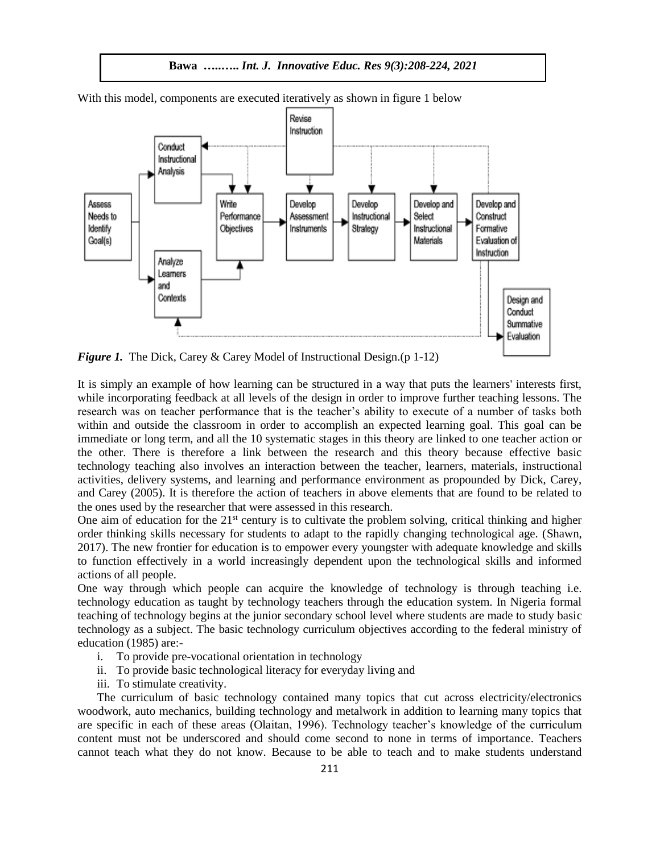



With this model, components are executed iteratively as shown in figure 1 below

*Figure 1.* The Dick, Carey & Carey Model of Instructional Design.(p 1-12)

It is simply an example of how learning can be structured in a way that puts the learners' interests first, while incorporating feedback at all levels of the design in order to improve further teaching lessons. The research was on teacher performance that is the teacher's ability to execute of a number of tasks both within and outside the classroom in order to accomplish an expected learning goal. This goal can be immediate or long term, and all the 10 systematic stages in this theory are linked to one teacher action or the other. There is therefore a link between the research and this theory because effective basic technology teaching also involves an interaction between the teacher, learners, materials, instructional activities, delivery systems, and learning and performance environment as propounded by Dick, Carey, and Carey (2005). It is therefore the action of teachers in above elements that are found to be related to the ones used by the researcher that were assessed in this research.

One aim of education for the  $21<sup>st</sup>$  century is to cultivate the problem solving, critical thinking and higher order thinking skills necessary for students to adapt to the rapidly changing technological age. (Shawn, 2017). The new frontier for education is to empower every youngster with adequate knowledge and skills to function effectively in a world increasingly dependent upon the technological skills and informed actions of all people.

One way through which people can acquire the knowledge of technology is through teaching i.e. technology education as taught by technology teachers through the education system. In Nigeria formal teaching of technology begins at the junior secondary school level where students are made to study basic technology as a subject. The basic technology curriculum objectives according to the federal ministry of education (1985) are:-

- i. To provide pre-vocational orientation in technology
- ii. To provide basic technological literacy for everyday living and
- iii. To stimulate creativity.

The curriculum of basic technology contained many topics that cut across electricity/electronics woodwork, auto mechanics, building technology and metalwork in addition to learning many topics that are specific in each of these areas (Olaitan, 1996). Technology teacher's knowledge of the curriculum content must not be underscored and should come second to none in terms of importance. Teachers cannot teach what they do not know. Because to be able to teach and to make students understand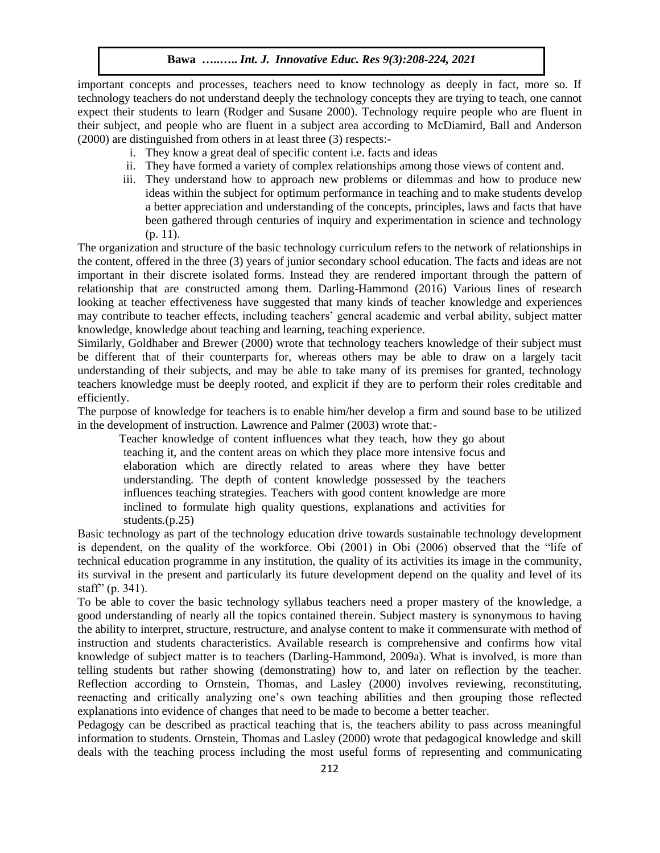important concepts and processes, teachers need to know technology as deeply in fact, more so. If technology teachers do not understand deeply the technology concepts they are trying to teach, one cannot expect their students to learn (Rodger and Susane 2000). Technology require people who are fluent in their subject, and people who are fluent in a subject area according to McDiamird, Ball and Anderson (2000) are distinguished from others in at least three (3) respects:-

- i. They know a great deal of specific content i.e. facts and ideas
- ii. They have formed a variety of complex relationships among those views of content and.
- iii. They understand how to approach new problems or dilemmas and how to produce new ideas within the subject for optimum performance in teaching and to make students develop a better appreciation and understanding of the concepts, principles, laws and facts that have been gathered through centuries of inquiry and experimentation in science and technology (p. 11).

The organization and structure of the basic technology curriculum refers to the network of relationships in the content, offered in the three (3) years of junior secondary school education. The facts and ideas are not important in their discrete isolated forms. Instead they are rendered important through the pattern of relationship that are constructed among them. Darling-Hammond (2016) Various lines of research looking at teacher effectiveness have suggested that many kinds of teacher knowledge and experiences may contribute to teacher effects, including teachers' general academic and verbal ability, subject matter knowledge, knowledge about teaching and learning, teaching experience.

Similarly, Goldhaber and Brewer (2000) wrote that technology teachers knowledge of their subject must be different that of their counterparts for, whereas others may be able to draw on a largely tacit understanding of their subjects, and may be able to take many of its premises for granted, technology teachers knowledge must be deeply rooted, and explicit if they are to perform their roles creditable and efficiently.

The purpose of knowledge for teachers is to enable him/her develop a firm and sound base to be utilized in the development of instruction. Lawrence and Palmer (2003) wrote that:-

 Teacher knowledge of content influences what they teach, how they go about teaching it, and the content areas on which they place more intensive focus and elaboration which are directly related to areas where they have better understanding. The depth of content knowledge possessed by the teachers influences teaching strategies. Teachers with good content knowledge are more inclined to formulate high quality questions, explanations and activities for students.(p.25)

Basic technology as part of the technology education drive towards sustainable technology development is dependent, on the quality of the workforce. Obi (2001) in Obi (2006) observed that the "life of technical education programme in any institution, the quality of its activities its image in the community, its survival in the present and particularly its future development depend on the quality and level of its staff" (p. 341).

To be able to cover the basic technology syllabus teachers need a proper mastery of the knowledge, a good understanding of nearly all the topics contained therein. Subject mastery is synonymous to having the ability to interpret, structure, restructure, and analyse content to make it commensurate with method of instruction and students characteristics. Available research is comprehensive and confirms how vital knowledge of subject matter is to teachers (Darling-Hammond, 2009a). What is involved, is more than telling students but rather showing (demonstrating) how to, and later on reflection by the teacher. Reflection according to Ornstein, Thomas, and Lasley (2000) involves reviewing, reconstituting, reenacting and critically analyzing one's own teaching abilities and then grouping those reflected explanations into evidence of changes that need to be made to become a better teacher.

Pedagogy can be described as practical teaching that is, the teachers ability to pass across meaningful information to students. Ornstein, Thomas and Lasley (2000) wrote that pedagogical knowledge and skill deals with the teaching process including the most useful forms of representing and communicating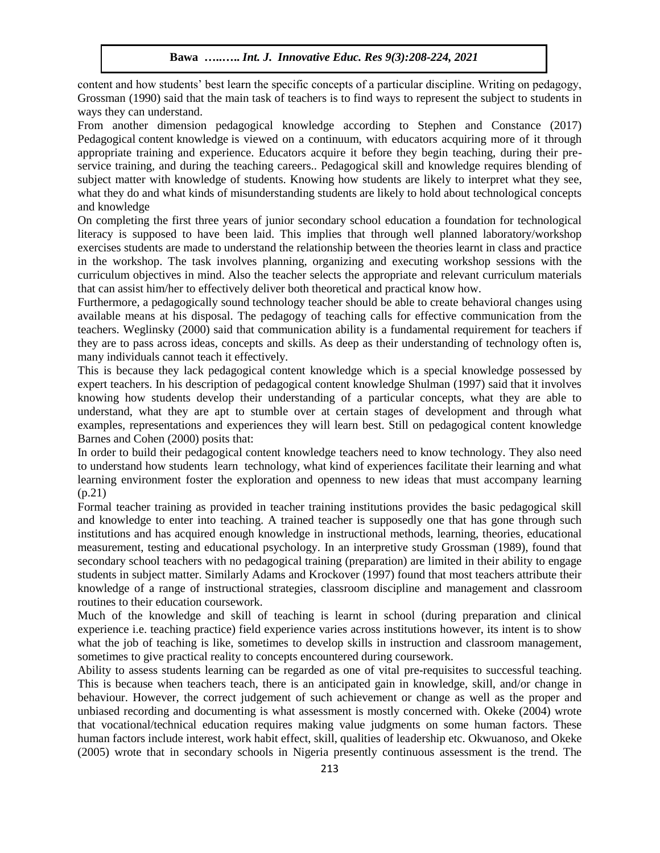content and how students' best learn the specific concepts of a particular discipline. Writing on pedagogy, Grossman (1990) said that the main task of teachers is to find ways to represent the subject to students in ways they can understand.

From another dimension pedagogical knowledge according to Stephen and Constance (2017) Pedagogical content knowledge is viewed on a continuum, with educators acquiring more of it through appropriate training and experience. Educators acquire it before they begin teaching, during their preservice training, and during the teaching careers.. Pedagogical skill and knowledge requires blending of subject matter with knowledge of students. Knowing how students are likely to interpret what they see, what they do and what kinds of misunderstanding students are likely to hold about technological concepts and knowledge

On completing the first three years of junior secondary school education a foundation for technological literacy is supposed to have been laid. This implies that through well planned laboratory/workshop exercises students are made to understand the relationship between the theories learnt in class and practice in the workshop. The task involves planning, organizing and executing workshop sessions with the curriculum objectives in mind. Also the teacher selects the appropriate and relevant curriculum materials that can assist him/her to effectively deliver both theoretical and practical know how.

Furthermore, a pedagogically sound technology teacher should be able to create behavioral changes using available means at his disposal. The pedagogy of teaching calls for effective communication from the teachers. Weglinsky (2000) said that communication ability is a fundamental requirement for teachers if they are to pass across ideas, concepts and skills. As deep as their understanding of technology often is, many individuals cannot teach it effectively.

This is because they lack pedagogical content knowledge which is a special knowledge possessed by expert teachers. In his description of pedagogical content knowledge Shulman (1997) said that it involves knowing how students develop their understanding of a particular concepts, what they are able to understand, what they are apt to stumble over at certain stages of development and through what examples, representations and experiences they will learn best. Still on pedagogical content knowledge Barnes and Cohen (2000) posits that:

In order to build their pedagogical content knowledge teachers need to know technology. They also need to understand how students learn technology, what kind of experiences facilitate their learning and what learning environment foster the exploration and openness to new ideas that must accompany learning (p.21)

Formal teacher training as provided in teacher training institutions provides the basic pedagogical skill and knowledge to enter into teaching. A trained teacher is supposedly one that has gone through such institutions and has acquired enough knowledge in instructional methods, learning, theories, educational measurement, testing and educational psychology. In an interpretive study Grossman (1989), found that secondary school teachers with no pedagogical training (preparation) are limited in their ability to engage students in subject matter. Similarly Adams and Krockover (1997) found that most teachers attribute their knowledge of a range of instructional strategies, classroom discipline and management and classroom routines to their education coursework.

Much of the knowledge and skill of teaching is learnt in school (during preparation and clinical experience i.e. teaching practice) field experience varies across institutions however, its intent is to show what the job of teaching is like, sometimes to develop skills in instruction and classroom management, sometimes to give practical reality to concepts encountered during coursework.

Ability to assess students learning can be regarded as one of vital pre-requisites to successful teaching. This is because when teachers teach, there is an anticipated gain in knowledge, skill, and/or change in behaviour. However, the correct judgement of such achievement or change as well as the proper and unbiased recording and documenting is what assessment is mostly concerned with. Okeke (2004) wrote that vocational/technical education requires making value judgments on some human factors. These human factors include interest, work habit effect, skill, qualities of leadership etc. Okwuanoso, and Okeke (2005) wrote that in secondary schools in Nigeria presently continuous assessment is the trend. The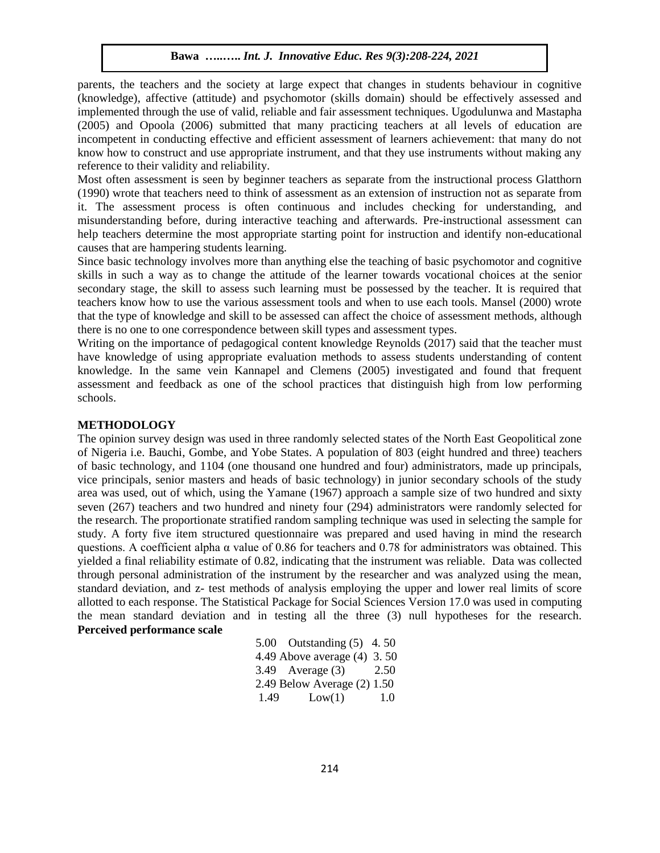parents, the teachers and the society at large expect that changes in students behaviour in cognitive (knowledge), affective (attitude) and psychomotor (skills domain) should be effectively assessed and implemented through the use of valid, reliable and fair assessment techniques. Ugodulunwa and Mastapha (2005) and Opoola (2006) submitted that many practicing teachers at all levels of education are incompetent in conducting effective and efficient assessment of learners achievement: that many do not know how to construct and use appropriate instrument, and that they use instruments without making any reference to their validity and reliability.

Most often assessment is seen by beginner teachers as separate from the instructional process Glatthorn (1990) wrote that teachers need to think of assessment as an extension of instruction not as separate from it. The assessment process is often continuous and includes checking for understanding, and misunderstanding before, during interactive teaching and afterwards. Pre-instructional assessment can help teachers determine the most appropriate starting point for instruction and identify non-educational causes that are hampering students learning.

Since basic technology involves more than anything else the teaching of basic psychomotor and cognitive skills in such a way as to change the attitude of the learner towards vocational choices at the senior secondary stage, the skill to assess such learning must be possessed by the teacher. It is required that teachers know how to use the various assessment tools and when to use each tools. Mansel (2000) wrote that the type of knowledge and skill to be assessed can affect the choice of assessment methods, although there is no one to one correspondence between skill types and assessment types.

Writing on the importance of pedagogical content knowledge Reynolds (2017) said that the teacher must have knowledge of using appropriate evaluation methods to assess students understanding of content knowledge. In the same vein Kannapel and Clemens (2005) investigated and found that frequent assessment and feedback as one of the school practices that distinguish high from low performing schools.

#### **METHODOLOGY**

The opinion survey design was used in three randomly selected states of the North East Geopolitical zone of Nigeria i.e. Bauchi, Gombe, and Yobe States. A population of 803 (eight hundred and three) teachers of basic technology, and 1104 (one thousand one hundred and four) administrators, made up principals, vice principals, senior masters and heads of basic technology) in junior secondary schools of the study area was used, out of which, using the Yamane (1967) approach a sample size of two hundred and sixty seven (267) teachers and two hundred and ninety four (294) administrators were randomly selected for the research. The proportionate stratified random sampling technique was used in selecting the sample for study. A forty five item structured questionnaire was prepared and used having in mind the research questions. A coefficient alpha  $\alpha$  value of 0.86 for teachers and 0.78 for administrators was obtained. This yielded a final reliability estimate of 0.82, indicating that the instrument was reliable. Data was collected through personal administration of the instrument by the researcher and was analyzed using the mean, standard deviation, and z- test methods of analysis employing the upper and lower real limits of score allotted to each response. The Statistical Package for Social Sciences Version 17.0 was used in computing the mean standard deviation and in testing all the three (3) null hypotheses for the research. **Perceived performance scale**

|      | 5.00 Outstanding $(5)$ 4.50   |      |
|------|-------------------------------|------|
|      | 4.49 Above average $(4)$ 3.50 |      |
|      | $3.49$ Average $(3)$          | 2.50 |
|      | 2.49 Below Average $(2)$ 1.50 |      |
| 1.49 | Low(1)                        | 1.0  |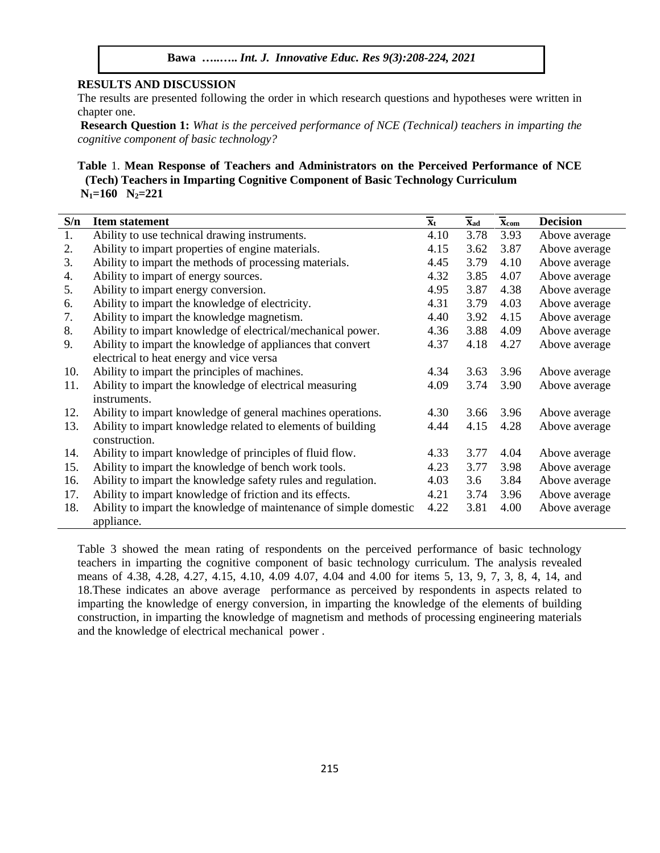# **RESULTS AND DISCUSSION**

The results are presented following the order in which research questions and hypotheses were written in chapter one.

**Research Question 1:** *What is the perceived performance of NCE (Technical) teachers in imparting the cognitive component of basic technology?*

# **Table** 1. **Mean Response of Teachers and Administrators on the Perceived Performance of NCE (Tech) Teachers in Imparting Cognitive Component of Basic Technology Curriculum N1=160 N2=221**

| S/n | <b>Item statement</b>                                             | $\overline{\mathbf{x}}_t$ | $\overline{\mathbf{X}}$ ad | $\overline{\mathbf{x}}_{com}$ | <b>Decision</b> |
|-----|-------------------------------------------------------------------|---------------------------|----------------------------|-------------------------------|-----------------|
| 1.  | Ability to use technical drawing instruments.                     | 4.10                      | 3.78                       | 3.93                          | Above average   |
| 2.  | Ability to impart properties of engine materials.                 | 4.15                      | 3.62                       | 3.87                          | Above average   |
| 3.  | Ability to impart the methods of processing materials.            | 4.45                      | 3.79                       | 4.10                          | Above average   |
| 4.  | Ability to impart of energy sources.                              | 4.32                      | 3.85                       | 4.07                          | Above average   |
| 5.  | Ability to impart energy conversion.                              | 4.95                      | 3.87                       | 4.38                          | Above average   |
| 6.  | Ability to impart the knowledge of electricity.                   | 4.31                      | 3.79                       | 4.03                          | Above average   |
| 7.  | Ability to impart the knowledge magnetism.                        | 4.40                      | 3.92                       | 4.15                          | Above average   |
| 8.  | Ability to impart knowledge of electrical/mechanical power.       | 4.36                      | 3.88                       | 4.09                          | Above average   |
| 9.  | Ability to impart the knowledge of appliances that convert        | 4.37                      | 4.18                       | 4.27                          | Above average   |
|     | electrical to heat energy and vice versa                          |                           |                            |                               |                 |
| 10. | Ability to impart the principles of machines.                     | 4.34                      | 3.63                       | 3.96                          | Above average   |
| 11. | Ability to impart the knowledge of electrical measuring           | 4.09                      | 3.74                       | 3.90                          | Above average   |
|     | instruments.                                                      |                           |                            |                               |                 |
| 12. | Ability to impart knowledge of general machines operations.       | 4.30                      | 3.66                       | 3.96                          | Above average   |
| 13. | Ability to impart knowledge related to elements of building       | 4.44                      | 4.15                       | 4.28                          | Above average   |
|     | construction.                                                     |                           |                            |                               |                 |
| 14. | Ability to impart knowledge of principles of fluid flow.          | 4.33                      | 3.77                       | 4.04                          | Above average   |
| 15. | Ability to impart the knowledge of bench work tools.              | 4.23                      | 3.77                       | 3.98                          | Above average   |
| 16. | Ability to impart the knowledge safety rules and regulation.      | 4.03                      | 3.6                        | 3.84                          | Above average   |
| 17. | Ability to impart knowledge of friction and its effects.          | 4.21                      | 3.74                       | 3.96                          | Above average   |
| 18. | Ability to impart the knowledge of maintenance of simple domestic | 4.22                      | 3.81                       | 4.00                          | Above average   |
|     | appliance.                                                        |                           |                            |                               |                 |

Table 3 showed the mean rating of respondents on the perceived performance of basic technology teachers in imparting the cognitive component of basic technology curriculum. The analysis revealed means of 4.38, 4.28, 4.27, 4.15, 4.10, 4.09 4.07, 4.04 and 4.00 for items 5, 13, 9, 7, 3, 8, 4, 14, and 18.These indicates an above average performance as perceived by respondents in aspects related to imparting the knowledge of energy conversion, in imparting the knowledge of the elements of building construction, in imparting the knowledge of magnetism and methods of processing engineering materials and the knowledge of electrical mechanical power .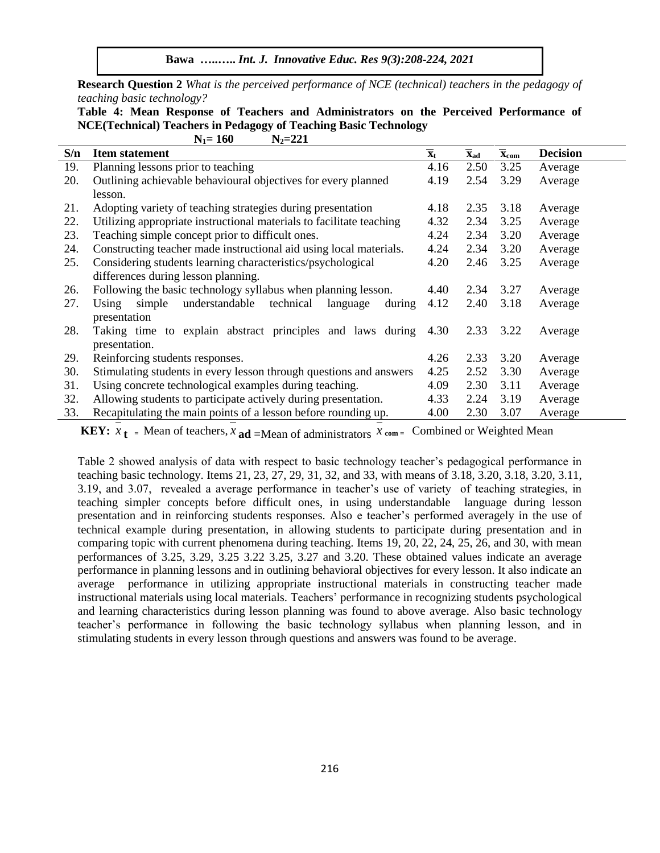**Bawa …..…..** *Int. J. Innovative Educ. Res 9(3):208-224, 2021*

**Research Question 2** *What is the perceived performance of NCE (technical) teachers in the pedagogy of teaching basic technology?*

**Table 4: Mean Response of Teachers and Administrators on the Perceived Performance of NCE(Technical) Teachers in Pedagogy of Teaching Basic Technology**  $N_1 = 160$   $N_2 = 221$ 

| S/n | <b>Item statement</b>                                                | $\overline{\mathbf{x}}_t$ | $\mathbf{X}_{ad}$ | $\overline{\mathbf{x}}_{com}$ | <b>Decision</b> |
|-----|----------------------------------------------------------------------|---------------------------|-------------------|-------------------------------|-----------------|
| 19. | Planning lessons prior to teaching                                   | 4.16                      | 2.50              | 3.25                          | Average         |
| 20. | Outlining achievable behavioural objectives for every planned        | 4.19                      | 2.54              | 3.29                          | Average         |
|     | lesson.                                                              |                           |                   |                               |                 |
| 21. | Adopting variety of teaching strategies during presentation          | 4.18                      | 2.35              | 3.18                          | Average         |
| 22. | Utilizing appropriate instructional materials to facilitate teaching | 4.32                      | 2.34              | 3.25                          | Average         |
| 23. | Teaching simple concept prior to difficult ones.                     | 4.24                      | 2.34              | 3.20                          | Average         |
| 24. | Constructing teacher made instructional aid using local materials.   | 4.24                      | 2.34              | 3.20                          | Average         |
| 25. | Considering students learning characteristics/psychological          | 4.20                      | 2.46              | 3.25                          | Average         |
|     | differences during lesson planning.                                  |                           |                   |                               |                 |
| 26. | Following the basic technology syllabus when planning lesson.        | 4.40                      | 2.34              | 3.27                          | Average         |
| 27. | understandable<br>technical<br>simple<br>Using<br>during<br>language | 4.12                      | 2.40              | 3.18                          | Average         |
|     | presentation                                                         |                           |                   |                               |                 |
| 28. | Taking time to explain abstract principles and laws during           | 4.30                      | 2.33              | 3.22                          | Average         |
|     | presentation.                                                        |                           |                   |                               |                 |
| 29. | Reinforcing students responses.                                      | 4.26                      | 2.33              | 3.20                          | Average         |
| 30. | Stimulating students in every lesson through questions and answers   | 4.25                      | 2.52              | 3.30                          | Average         |
| 31. | Using concrete technological examples during teaching.               | 4.09                      | 2.30              | 3.11                          | Average         |
| 32. | Allowing students to participate actively during presentation.       | 4.33                      | 2.24              | 3.19                          | Average         |
| 33. | Recapitulating the main points of a lesson before rounding up.       | 4.00                      | 2.30              | 3.07                          | Average         |

**KEY:**  $x_t = \text{Mean of teachers}, x_{ad} = \text{Mean of administrators } x_{com} = \text{Combined or Weighted Mean}$ 

Table 2 showed analysis of data with respect to basic technology teacher's pedagogical performance in teaching basic technology. Items 21, 23, 27, 29, 31, 32, and 33, with means of 3.18, 3.20, 3.18, 3.20, 3.11, 3.19, and 3.07, revealed a average performance in teacher's use of variety of teaching strategies, in teaching simpler concepts before difficult ones, in using understandable language during lesson presentation and in reinforcing students responses. Also e teacher's performed averagely in the use of technical example during presentation, in allowing students to participate during presentation and in comparing topic with current phenomena during teaching. Items 19, 20, 22, 24, 25, 26, and 30, with mean performances of 3.25, 3.29, 3.25 3.22 3.25, 3.27 and 3.20. These obtained values indicate an average performance in planning lessons and in outlining behavioral objectives for every lesson. It also indicate an average performance in utilizing appropriate instructional materials in constructing teacher made instructional materials using local materials. Teachers' performance in recognizing students psychological and learning characteristics during lesson planning was found to above average. Also basic technology teacher's performance in following the basic technology syllabus when planning lesson, and in stimulating students in every lesson through questions and answers was found to be average.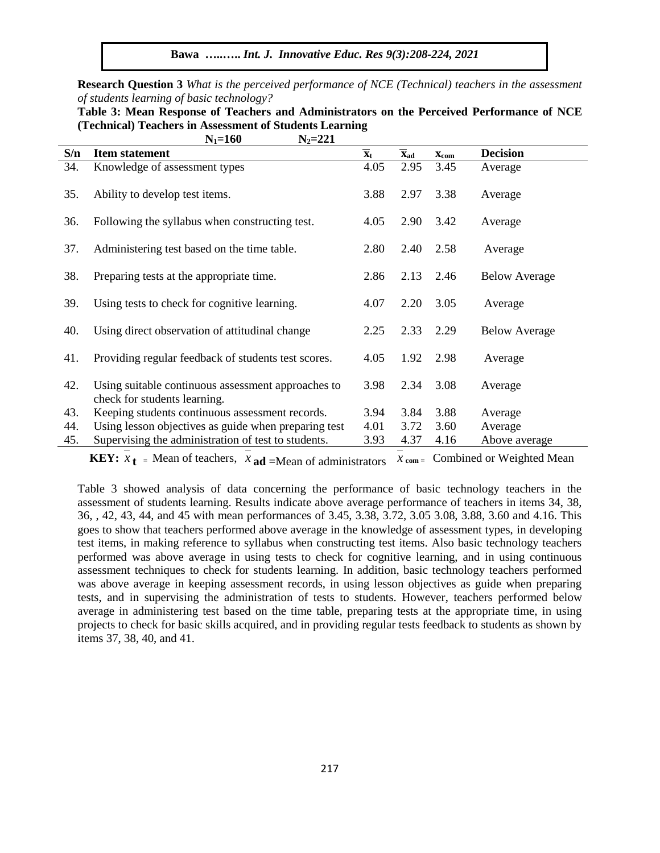**Bawa …..…..** *Int. J. Innovative Educ. Res 9(3):208-224, 2021*

**Research Question 3** *What is the perceived performance of NCE (Technical) teachers in the assessment of students learning of basic technology?*

| Table 3: Mean Response of Teachers and Administrators on the Perceived Performance of NCE |             |  |  |
|-------------------------------------------------------------------------------------------|-------------|--|--|
| (Technical) Teachers in Assessment of Students Learning                                   |             |  |  |
| $N_1 = 160$                                                                               | $N_2 = 221$ |  |  |

| S/n | <b>Item statement</b>                                                              | $\overline{\mathbf{x}}_t$ | $\overline{\mathbf{x}}_{\text{ad}}$ | $\mathbf{x}_{\text{com}}$ | <b>Decision</b>         |
|-----|------------------------------------------------------------------------------------|---------------------------|-------------------------------------|---------------------------|-------------------------|
| 34. | Knowledge of assessment types                                                      | 4.05                      | 2.95                                | 3.45                      | Average                 |
| 35. | Ability to develop test items.                                                     | 3.88                      | 2.97                                | 3.38                      | Average                 |
| 36. | Following the syllabus when constructing test.                                     | 4.05                      | 2.90                                | 3.42                      | Average                 |
| 37. | Administering test based on the time table.                                        | 2.80                      | 2.40                                | 2.58                      | Average                 |
| 38. | Preparing tests at the appropriate time.                                           | 2.86                      | 2.13                                | 2.46                      | <b>Below Average</b>    |
| 39. | Using tests to check for cognitive learning.                                       | 4.07                      | 2.20                                | 3.05                      | Average                 |
| 40. | Using direct observation of attitudinal change                                     | 2.25                      | 2.33                                | 2.29                      | <b>Below Average</b>    |
| 41. | Providing regular feedback of students test scores.                                | 4.05                      | 1.92                                | 2.98                      | Average                 |
| 42. | Using suitable continuous assessment approaches to<br>check for students learning. | 3.98                      | 2.34                                | 3.08                      | Average                 |
| 43. | Keeping students continuous assessment records.                                    | 3.94                      | 3.84                                | 3.88                      | Average                 |
| 44. | Using lesson objectives as guide when preparing test                               | 4.01                      | 3.72                                | 3.60                      | Average                 |
| 45. | Supervising the administration of test to students.                                | 3.93                      | 4.37                                | 4.16                      | Above average           |
|     | $\mathbf{M}$ $\mathbf{C}$ $\mathbf{I}$<br>T/TT                                     |                           |                                     |                           | $\alpha$ 1, 1 WI 1, 197 |

**KEY:**  $x_t = \text{Mean of teachers}, x_{ad} = \text{Mean of administrators } x_{com} = \text{Combined or Weighted Mean}$ 

Table 3 showed analysis of data concerning the performance of basic technology teachers in the assessment of students learning. Results indicate above average performance of teachers in items 34, 38, 36, , 42, 43, 44, and 45 with mean performances of 3.45, 3.38, 3.72, 3.05 3.08, 3.88, 3.60 and 4.16. This goes to show that teachers performed above average in the knowledge of assessment types, in developing test items, in making reference to syllabus when constructing test items. Also basic technology teachers performed was above average in using tests to check for cognitive learning, and in using continuous assessment techniques to check for students learning. In addition, basic technology teachers performed was above average in keeping assessment records, in using lesson objectives as guide when preparing tests, and in supervising the administration of tests to students. However, teachers performed below average in administering test based on the time table, preparing tests at the appropriate time, in using projects to check for basic skills acquired, and in providing regular tests feedback to students as shown by items 37, 38, 40, and 41.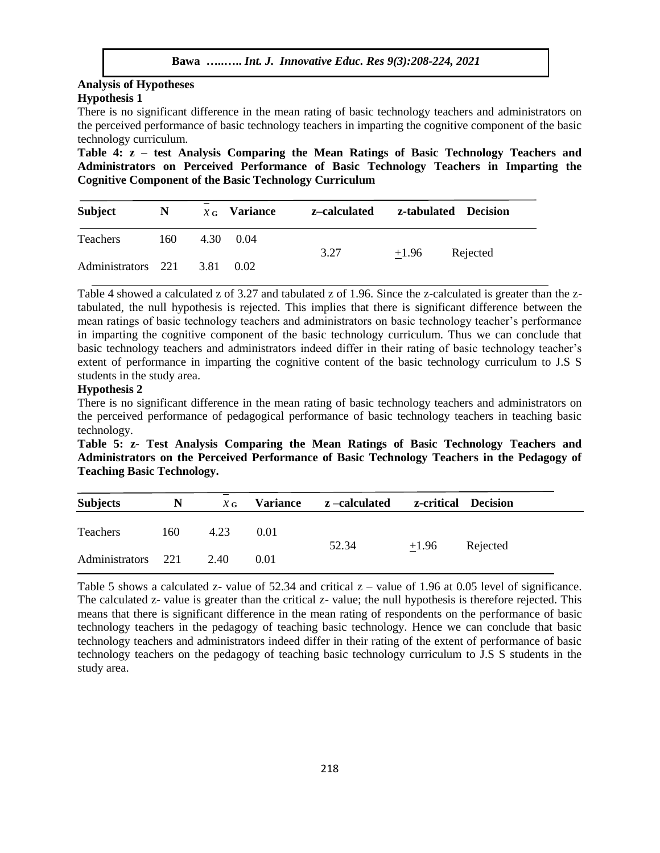### **Analysis of Hypotheses Hypothesis 1**

There is no significant difference in the mean rating of basic technology teachers and administrators on the perceived performance of basic technology teachers in imparting the cognitive component of the basic technology curriculum.

**Table 4: z – test Analysis Comparing the Mean Ratings of Basic Technology Teachers and Administrators on Perceived Performance of Basic Technology Teachers in Imparting the Cognitive Component of the Basic Technology Curriculum**

| <b>Subject</b>          | N   | $x_G$ Variance    | z–calculated |            | z-tabulated Decision |
|-------------------------|-----|-------------------|--------------|------------|----------------------|
| <b>Teachers</b>         | 160 | $4.30 \quad 0.04$ | 3.27         | $\pm 1.96$ | Rejected             |
| Administrators 221 3.81 |     | 0.02              |              |            |                      |

Table 4 showed a calculated z of 3.27 and tabulated z of 1.96. Since the z-calculated is greater than the ztabulated, the null hypothesis is rejected. This implies that there is significant difference between the mean ratings of basic technology teachers and administrators on basic technology teacher's performance in imparting the cognitive component of the basic technology curriculum. Thus we can conclude that basic technology teachers and administrators indeed differ in their rating of basic technology teacher's extent of performance in imparting the cognitive content of the basic technology curriculum to J.S S students in the study area.

### **Hypothesis 2**

There is no significant difference in the mean rating of basic technology teachers and administrators on the perceived performance of pedagogical performance of basic technology teachers in teaching basic technology.

**Table 5: z- Test Analysis Comparing the Mean Ratings of Basic Technology Teachers and Administrators on the Perceived Performance of Basic Technology Teachers in the Pedagogy of Teaching Basic Technology.**

| <b>Subjects</b>    | N   | $\chi$ G | <b>Variance</b> | z –calculated | z-critical | <b>Decision</b> |
|--------------------|-----|----------|-----------------|---------------|------------|-----------------|
| Teachers           | 160 | 4.23     | 0.01            |               |            |                 |
| Administrators 221 |     | 2.40     | 0.01            | 52.34         | $\pm 1.96$ | Rejected        |

Table 5 shows a calculated z- value of  $52.34$  and critical  $z$  – value of 1.96 at 0.05 level of significance. The calculated z- value is greater than the critical z- value; the null hypothesis is therefore rejected. This means that there is significant difference in the mean rating of respondents on the performance of basic technology teachers in the pedagogy of teaching basic technology. Hence we can conclude that basic technology teachers and administrators indeed differ in their rating of the extent of performance of basic technology teachers on the pedagogy of teaching basic technology curriculum to J.S S students in the study area.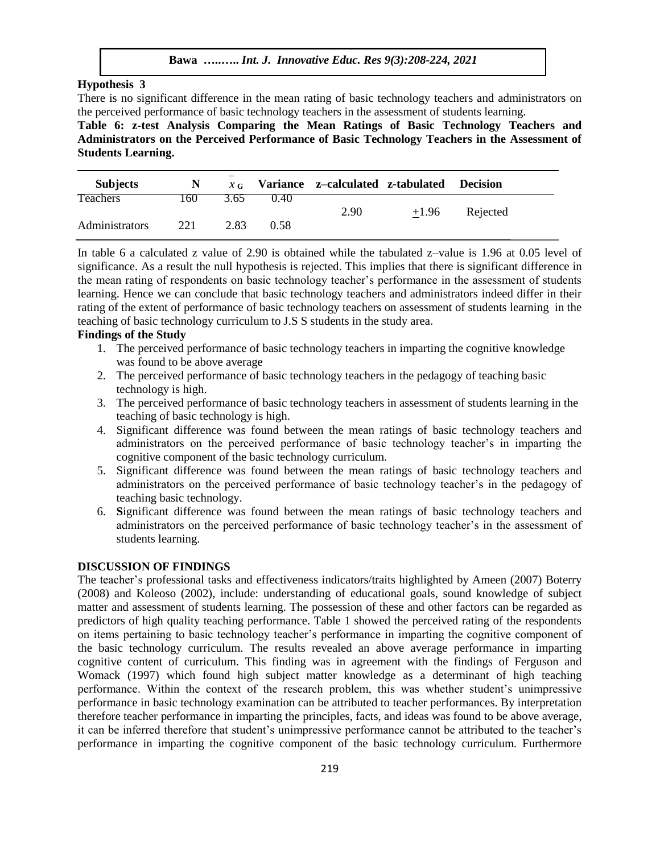## **Hypothesis 3**

There is no significant difference in the mean rating of basic technology teachers and administrators on the perceived performance of basic technology teachers in the assessment of students learning.

**Table 6: z-test Analysis Comparing the Mean Ratings of Basic Technology Teachers and Administrators on the Perceived Performance of Basic Technology Teachers in the Assessment of Students Learning.**

| <b>Subjects</b> | N   |      |       | $x_G$ Variance z-calculated z-tabulated |         | <b>Decision</b> |
|-----------------|-----|------|-------|-----------------------------------------|---------|-----------------|
| Teachers        | 160 | 3.65 | (140) |                                         |         |                 |
|                 |     |      |       | 2.90                                    | $+1.96$ | Rejected        |
| Administrators  | 221 | 2.83 | 0.58  |                                         |         |                 |
|                 |     |      |       |                                         |         |                 |

In table 6 a calculated z value of 2.90 is obtained while the tabulated z–value is 1.96 at 0.05 level of significance. As a result the null hypothesis is rejected. This implies that there is significant difference in the mean rating of respondents on basic technology teacher's performance in the assessment of students learning. Hence we can conclude that basic technology teachers and administrators indeed differ in their rating of the extent of performance of basic technology teachers on assessment of students learning in the teaching of basic technology curriculum to J.S S students in the study area.

### **Findings of the Study**

- 1. The perceived performance of basic technology teachers in imparting the cognitive knowledge was found to be above average
- 2. The perceived performance of basic technology teachers in the pedagogy of teaching basic technology is high.
- 3. The perceived performance of basic technology teachers in assessment of students learning in the teaching of basic technology is high.
- 4. Significant difference was found between the mean ratings of basic technology teachers and administrators on the perceived performance of basic technology teacher's in imparting the cognitive component of the basic technology curriculum.
- 5. Significant difference was found between the mean ratings of basic technology teachers and administrators on the perceived performance of basic technology teacher's in the pedagogy of teaching basic technology.
- 6. **S**ignificant difference was found between the mean ratings of basic technology teachers and administrators on the perceived performance of basic technology teacher's in the assessment of students learning.

#### **DISCUSSION OF FINDINGS**

The teacher's professional tasks and effectiveness indicators/traits highlighted by Ameen (2007) Boterry (2008) and Koleoso (2002), include: understanding of educational goals, sound knowledge of subject matter and assessment of students learning. The possession of these and other factors can be regarded as predictors of high quality teaching performance. Table 1 showed the perceived rating of the respondents on items pertaining to basic technology teacher's performance in imparting the cognitive component of the basic technology curriculum. The results revealed an above average performance in imparting cognitive content of curriculum. This finding was in agreement with the findings of Ferguson and Womack (1997) which found high subject matter knowledge as a determinant of high teaching performance. Within the context of the research problem, this was whether student's unimpressive performance in basic technology examination can be attributed to teacher performances. By interpretation therefore teacher performance in imparting the principles, facts, and ideas was found to be above average, it can be inferred therefore that student's unimpressive performance cannot be attributed to the teacher's performance in imparting the cognitive component of the basic technology curriculum. Furthermore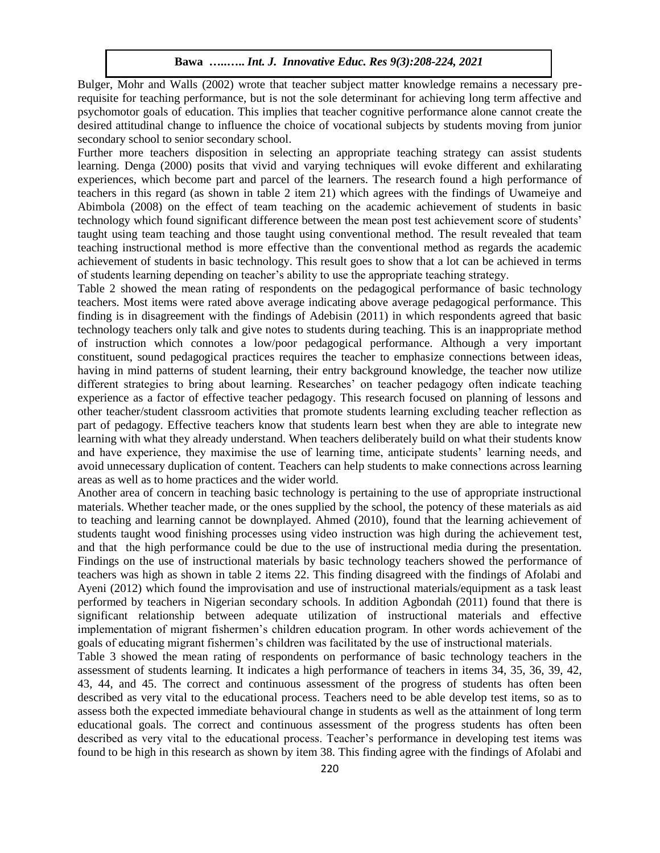Bulger, Mohr and Walls (2002) wrote that teacher subject matter knowledge remains a necessary prerequisite for teaching performance, but is not the sole determinant for achieving long term affective and psychomotor goals of education. This implies that teacher cognitive performance alone cannot create the desired attitudinal change to influence the choice of vocational subjects by students moving from junior secondary school to senior secondary school.

Further more teachers disposition in selecting an appropriate teaching strategy can assist students learning. Denga (2000) posits that vivid and varying techniques will evoke different and exhilarating experiences, which become part and parcel of the learners. The research found a high performance of teachers in this regard (as shown in table 2 item 21) which agrees with the findings of Uwameiye and Abimbola (2008) on the effect of team teaching on the academic achievement of students in basic technology which found significant difference between the mean post test achievement score of students' taught using team teaching and those taught using conventional method. The result revealed that team teaching instructional method is more effective than the conventional method as regards the academic achievement of students in basic technology. This result goes to show that a lot can be achieved in terms of students learning depending on teacher's ability to use the appropriate teaching strategy.

Table 2 showed the mean rating of respondents on the pedagogical performance of basic technology teachers. Most items were rated above average indicating above average pedagogical performance. This finding is in disagreement with the findings of Adebisin (2011) in which respondents agreed that basic technology teachers only talk and give notes to students during teaching. This is an inappropriate method of instruction which connotes a low/poor pedagogical performance. Although a very important constituent, sound pedagogical practices requires the teacher to emphasize connections between ideas, having in mind patterns of student learning, their entry background knowledge, the teacher now utilize different strategies to bring about learning. Researches' on teacher pedagogy often indicate teaching experience as a factor of effective teacher pedagogy. This research focused on planning of lessons and other teacher/student classroom activities that promote students learning excluding teacher reflection as part of pedagogy. Effective teachers know that students learn best when they are able to integrate new learning with what they already understand. When teachers deliberately build on what their students know and have experience, they maximise the use of learning time, anticipate students' learning needs, and avoid unnecessary duplication of content. Teachers can help students to make connections across learning areas as well as to home practices and the wider world.

Another area of concern in teaching basic technology is pertaining to the use of appropriate instructional materials. Whether teacher made, or the ones supplied by the school, the potency of these materials as aid to teaching and learning cannot be downplayed. Ahmed (2010), found that the learning achievement of students taught wood finishing processes using video instruction was high during the achievement test, and that the high performance could be due to the use of instructional media during the presentation. Findings on the use of instructional materials by basic technology teachers showed the performance of teachers was high as shown in table 2 items 22. This finding disagreed with the findings of Afolabi and Ayeni (2012) which found the improvisation and use of instructional materials/equipment as a task least performed by teachers in Nigerian secondary schools. In addition Agbondah (2011) found that there is significant relationship between adequate utilization of instructional materials and effective implementation of migrant fishermen's children education program. In other words achievement of the goals of educating migrant fishermen's children was facilitated by the use of instructional materials.

Table 3 showed the mean rating of respondents on performance of basic technology teachers in the assessment of students learning. It indicates a high performance of teachers in items 34, 35, 36, 39, 42, 43, 44, and 45. The correct and continuous assessment of the progress of students has often been described as very vital to the educational process. Teachers need to be able develop test items, so as to assess both the expected immediate behavioural change in students as well as the attainment of long term educational goals. The correct and continuous assessment of the progress students has often been described as very vital to the educational process. Teacher's performance in developing test items was found to be high in this research as shown by item 38. This finding agree with the findings of Afolabi and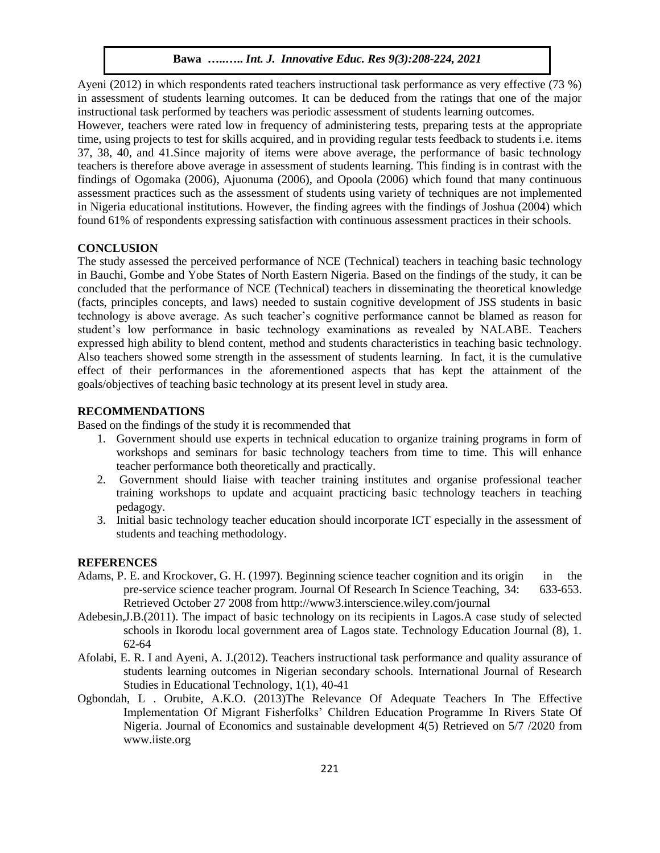Ayeni (2012) in which respondents rated teachers instructional task performance as very effective (73 %) in assessment of students learning outcomes. It can be deduced from the ratings that one of the major instructional task performed by teachers was periodic assessment of students learning outcomes.

However, teachers were rated low in frequency of administering tests, preparing tests at the appropriate time, using projects to test for skills acquired, and in providing regular tests feedback to students i.e. items 37, 38, 40, and 41.Since majority of items were above average, the performance of basic technology teachers is therefore above average in assessment of students learning. This finding is in contrast with the findings of Ogomaka (2006), Ajuonuma (2006), and Opoola (2006) which found that many continuous assessment practices such as the assessment of students using variety of techniques are not implemented in Nigeria educational institutions. However, the finding agrees with the findings of Joshua (2004) which found 61% of respondents expressing satisfaction with continuous assessment practices in their schools.

# **CONCLUSION**

The study assessed the perceived performance of NCE (Technical) teachers in teaching basic technology in Bauchi, Gombe and Yobe States of North Eastern Nigeria. Based on the findings of the study, it can be concluded that the performance of NCE (Technical) teachers in disseminating the theoretical knowledge (facts, principles concepts, and laws) needed to sustain cognitive development of JSS students in basic technology is above average. As such teacher's cognitive performance cannot be blamed as reason for student's low performance in basic technology examinations as revealed by NALABE. Teachers expressed high ability to blend content, method and students characteristics in teaching basic technology. Also teachers showed some strength in the assessment of students learning. In fact, it is the cumulative effect of their performances in the aforementioned aspects that has kept the attainment of the goals/objectives of teaching basic technology at its present level in study area.

### **RECOMMENDATIONS**

Based on the findings of the study it is recommended that

- 1. Government should use experts in technical education to organize training programs in form of workshops and seminars for basic technology teachers from time to time. This will enhance teacher performance both theoretically and practically.
- 2. Government should liaise with teacher training institutes and organise professional teacher training workshops to update and acquaint practicing basic technology teachers in teaching pedagogy.
- 3. Initial basic technology teacher education should incorporate ICT especially in the assessment of students and teaching methodology.

# **REFERENCES**

- Adams, P. E. and Krockover, G. H. (1997). Beginning science teacher cognition and its origin in the pre-service science teacher program. Journal Of Research In Science Teaching, 34: 633-653. Retrieved October 27 2008 from http://www3.interscience.wiley.com/journal
- Adebesin,J.B.(2011). The impact of basic technology on its recipients in Lagos.A case study of selected schools in Ikorodu local government area of Lagos state. Technology Education Journal (8), 1. 62-64
- Afolabi, E. R. I and Ayeni, A. J.(2012). Teachers instructional task performance and quality assurance of students learning outcomes in Nigerian secondary schools. International Journal of Research Studies in Educational Technology, 1(1), 40-41
- Ogbondah, L . Orubite, A.K.O. (2013)The Relevance Of Adequate Teachers In The Effective Implementation Of Migrant Fisherfolks' Children Education Programme In Rivers State Of Nigeria. Journal of Economics and sustainable development 4(5) Retrieved on 5/7 /2020 from www.iiste.org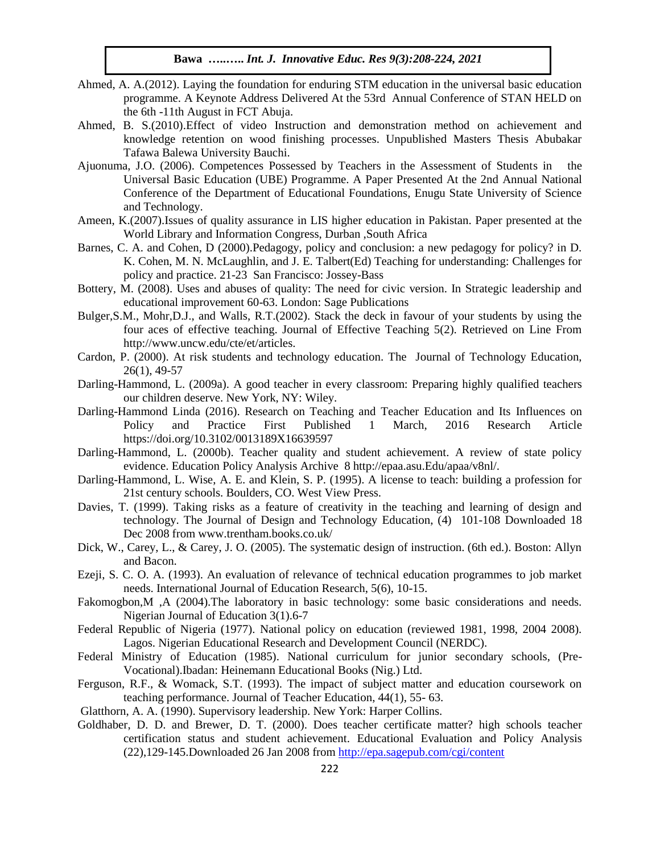- Ahmed, A. A.(2012). Laying the foundation for enduring STM education in the universal basic education programme. A Keynote Address Delivered At the 53rd Annual Conference of STAN HELD on the 6th -11th August in FCT Abuja.
- Ahmed, B. S.(2010).Effect of video Instruction and demonstration method on achievement and knowledge retention on wood finishing processes. Unpublished Masters Thesis Abubakar Tafawa Balewa University Bauchi.
- Ajuonuma, J.O. (2006). Competences Possessed by Teachers in the Assessment of Students in the Universal Basic Education (UBE) Programme. A Paper Presented At the 2nd Annual National Conference of the Department of Educational Foundations, Enugu State University of Science and Technology.
- Ameen, K.(2007).Issues of quality assurance in LIS higher education in Pakistan. Paper presented at the World Library and Information Congress, Durban ,South Africa
- Barnes, C. A. and Cohen, D (2000).Pedagogy, policy and conclusion: a new pedagogy for policy? in D. K. Cohen, M. N. McLaughlin, and J. E. Talbert(Ed) Teaching for understanding: Challenges for policy and practice. 21-23 San Francisco: Jossey-Bass
- Bottery, M. (2008). Uses and abuses of quality: The need for civic version. In Strategic leadership and educational improvement 60-63. London: Sage Publications
- Bulger,S.M., Mohr,D.J., and Walls, R.T.(2002). Stack the deck in favour of your students by using the four aces of effective teaching. Journal of Effective Teaching 5(2). Retrieved on Line From http://www.uncw.edu/cte/et/articles.
- Cardon, P. (2000). At risk students and technology education. The Journal of Technology Education, 26(1), 49-57
- Darling-Hammond, L. (2009a). A good teacher in every classroom: Preparing highly qualified teachers our children deserve. New York, NY: Wiley.
- Darling-Hammond Linda (2016). Research on Teaching and Teacher Education and Its Influences on Policy and Practice First Published 1 March, 2016 Research Article https://doi.org/10.3102/0013189X16639597
- Darling-Hammond, L. (2000b). Teacher quality and student achievement. A review of state policy evidence. Education Policy Analysis Archive 8 http://epaa.asu.Edu/apaa/v8nl/.
- Darling-Hammond, L. Wise, A. E. and Klein, S. P. (1995). A license to teach: building a profession for 21st century schools. Boulders, CO. West View Press.
- Davies, T. (1999). Taking risks as a feature of creativity in the teaching and learning of design and technology. The Journal of Design and Technology Education, (4) 101-108 Downloaded 18 Dec 2008 from www.trentham.books.co.uk/
- Dick, W., Carey, L., & Carey, J. O. (2005). The systematic design of instruction. (6th ed.). Boston: Allyn and Bacon.
- Ezeji, S. C. O. A. (1993). An evaluation of relevance of technical education programmes to job market needs. International Journal of Education Research, 5(6), 10-15.
- Fakomogbon,M ,A (2004). The laboratory in basic technology: some basic considerations and needs. Nigerian Journal of Education 3(1).6-7
- Federal Republic of Nigeria (1977). National policy on education (reviewed 1981, 1998, 2004 2008). Lagos. Nigerian Educational Research and Development Council (NERDC).
- Federal Ministry of Education (1985). National curriculum for junior secondary schools, (Pre-Vocational).Ibadan: Heinemann Educational Books (Nig.) Ltd.
- Ferguson, R.F., & Womack, S.T. (1993). The impact of subject matter and education coursework on teaching performance. Journal of Teacher Education, 44(1), 55- 63.
- Glatthorn, A. A. (1990). Supervisory leadership. New York: Harper Collins.
- Goldhaber, D. D. and Brewer, D. T. (2000). Does teacher certificate matter? high schools teacher certification status and student achievement. Educational Evaluation and Policy Analysis (22),129-145.Downloaded 26 Jan 2008 from <http://epa.sagepub.com/cgi/content>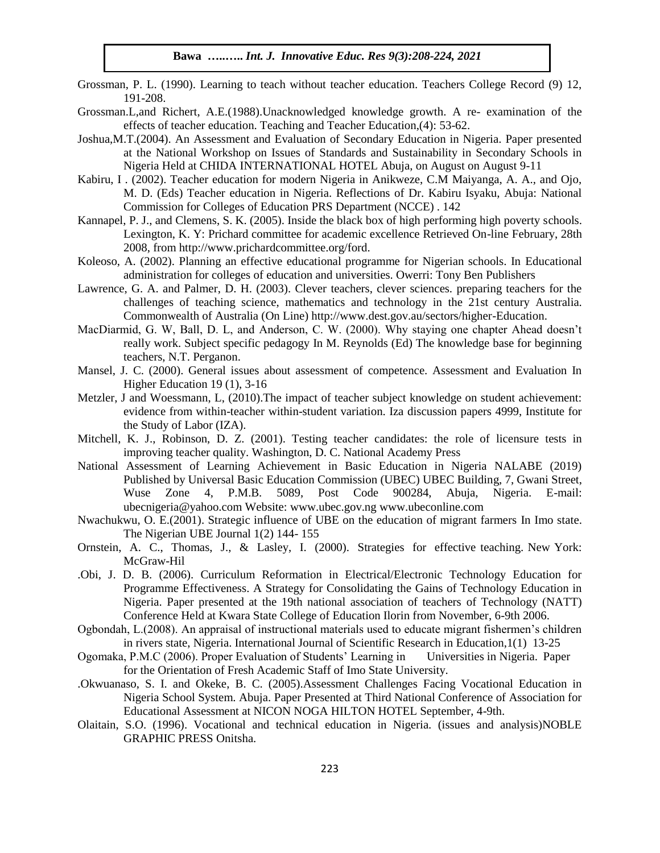- Grossman, P. L. (1990). Learning to teach without teacher education. Teachers College Record (9) 12, 191-208.
- Grossman.L,and Richert, A.E.(1988).Unacknowledged knowledge growth. A re- examination of the effects of teacher education. Teaching and Teacher Education,(4): 53-62.
- Joshua,M.T.(2004). An Assessment and Evaluation of Secondary Education in Nigeria. Paper presented at the National Workshop on Issues of Standards and Sustainability in Secondary Schools in Nigeria Held at CHIDA INTERNATIONAL HOTEL Abuja, on August on August 9-11
- Kabiru, I . (2002). Teacher education for modern Nigeria in Anikweze, C.M Maiyanga, A. A., and Ojo, M. D. (Eds) Teacher education in Nigeria. Reflections of Dr. Kabiru Isyaku, Abuja: National Commission for Colleges of Education PRS Department (NCCE) . 142
- Kannapel, P. J., and Clemens, S. K. (2005). Inside the black box of high performing high poverty schools. Lexington, K. Y: Prichard committee for academic excellence Retrieved On-line February, 28th 2008, from http://www.prichardcommittee.org/ford.
- Koleoso, A. (2002). Planning an effective educational programme for Nigerian schools. In Educational administration for colleges of education and universities. Owerri: Tony Ben Publishers
- Lawrence, G. A. and Palmer, D. H. (2003). Clever teachers, clever sciences. preparing teachers for the challenges of teaching science, mathematics and technology in the 21st century Australia. Commonwealth of Australia (On Line) http://www.dest.gov.au/sectors/higher-Education.
- MacDiarmid, G. W, Ball, D. L, and Anderson, C. W. (2000). Why staying one chapter Ahead doesn't really work. Subject specific pedagogy In M. Reynolds (Ed) The knowledge base for beginning teachers, N.T. Perganon.
- Mansel, J. C. (2000). General issues about assessment of competence. Assessment and Evaluation In Higher Education 19 (1), 3-16
- Metzler, J and Woessmann, L, (2010).The impact of teacher subject knowledge on student achievement: evidence from within-teacher within-student variation. Iza discussion papers 4999, Institute for the Study of Labor (IZA).
- Mitchell, K. J., Robinson, D. Z. (2001). Testing teacher candidates: the role of licensure tests in improving teacher quality. Washington, D. C. National Academy Press
- National Assessment of Learning Achievement in Basic Education in Nigeria NALABE (2019) Published by Universal Basic Education Commission (UBEC) UBEC Building, 7, Gwani Street, Wuse Zone 4, P.M.B. 5089, Post Code 900284, Abuja, Nigeria. E-mail: ubecnigeria@yahoo.com Website: www.ubec.gov.ng www.ubeconline.com
- Nwachukwu, O. E.(2001). Strategic influence of UBE on the education of migrant farmers In Imo state. The Nigerian UBE Journal 1(2) 144- 155
- Ornstein, A. C., Thomas, J., & Lasley, I. (2000). Strategies for effective teaching. New York: McGraw-Hil
- .Obi, J. D. B. (2006). Curriculum Reformation in Electrical/Electronic Technology Education for Programme Effectiveness. A Strategy for Consolidating the Gains of Technology Education in Nigeria. Paper presented at the 19th national association of teachers of Technology (NATT) Conference Held at Kwara State College of Education Ilorin from November, 6-9th 2006.
- Ogbondah, L.(2008). An appraisal of instructional materials used to educate migrant fishermen's children in rivers state, Nigeria. International Journal of Scientific Research in Education,1(1) 13-25
- Ogomaka, P.M.C (2006). Proper Evaluation of Students' Learning in Universities in Nigeria. Paper for the Orientation of Fresh Academic Staff of Imo State University.
- .Okwuanaso, S. I. and Okeke, B. C. (2005).Assessment Challenges Facing Vocational Education in Nigeria School System. Abuja. Paper Presented at Third National Conference of Association for Educational Assessment at NICON NOGA HILTON HOTEL September, 4-9th.
- Olaitain, S.O. (1996). Vocational and technical education in Nigeria. (issues and analysis)NOBLE GRAPHIC PRESS Onitsha.